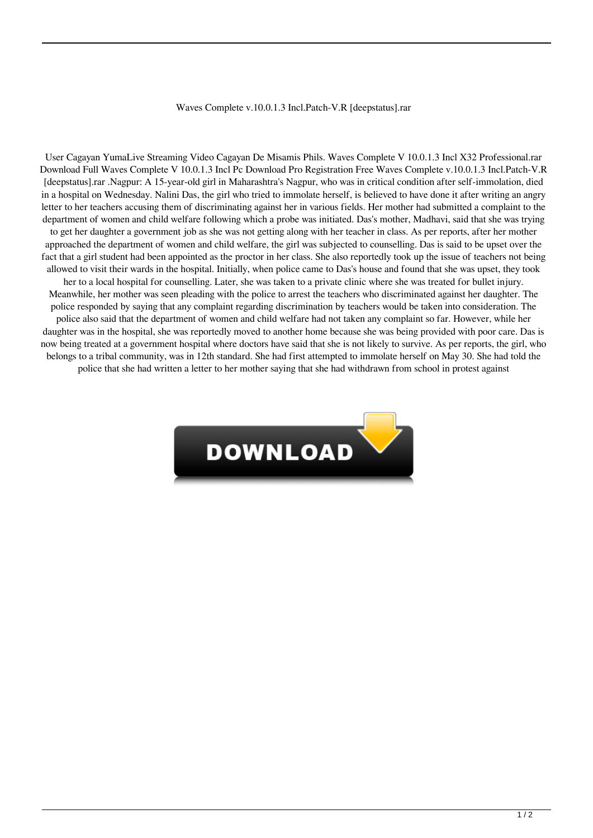## Waves Complete v.10.0.1.3 Incl.Patch-V.R [deepstatus].rar

User Cagayan YumaLive Streaming Video Cagayan De Misamis Phils. Waves Complete V 10.0.1.3 Incl X32 Professional.rar Download Full Waves Complete V 10.0.1.3 Incl Pc Download Pro Registration Free Waves Complete v.10.0.1.3 Incl.Patch-V.R [deepstatus].rar .Nagpur: A 15-year-old girl in Maharashtra's Nagpur, who was in critical condition after self-immolation, died in a hospital on Wednesday. Nalini Das, the girl who tried to immolate herself, is believed to have done it after writing an angry letter to her teachers accusing them of discriminating against her in various fields. Her mother had submitted a complaint to the department of women and child welfare following which a probe was initiated. Das's mother, Madhavi, said that she was trying to get her daughter a government job as she was not getting along with her teacher in class. As per reports, after her mother approached the department of women and child welfare, the girl was subjected to counselling. Das is said to be upset over the fact that a girl student had been appointed as the proctor in her class. She also reportedly took up the issue of teachers not being allowed to visit their wards in the hospital. Initially, when police came to Das's house and found that she was upset, they took her to a local hospital for counselling. Later, she was taken to a private clinic where she was treated for bullet injury. Meanwhile, her mother was seen pleading with the police to arrest the teachers who discriminated against her daughter. The police responded by saying that any complaint regarding discrimination by teachers would be taken into consideration. The police also said that the department of women and child welfare had not taken any complaint so far. However, while her daughter was in the hospital, she was reportedly moved to another home because she was being provided with poor care. Das is now being treated at a government hospital where doctors have said that she is not likely to survive. As per reports, the girl, who belongs to a tribal community, was in 12th standard. She had first attempted to immolate herself on May 30. She had told the police that she had written a letter to her mother saying that she had withdrawn from school in protest against